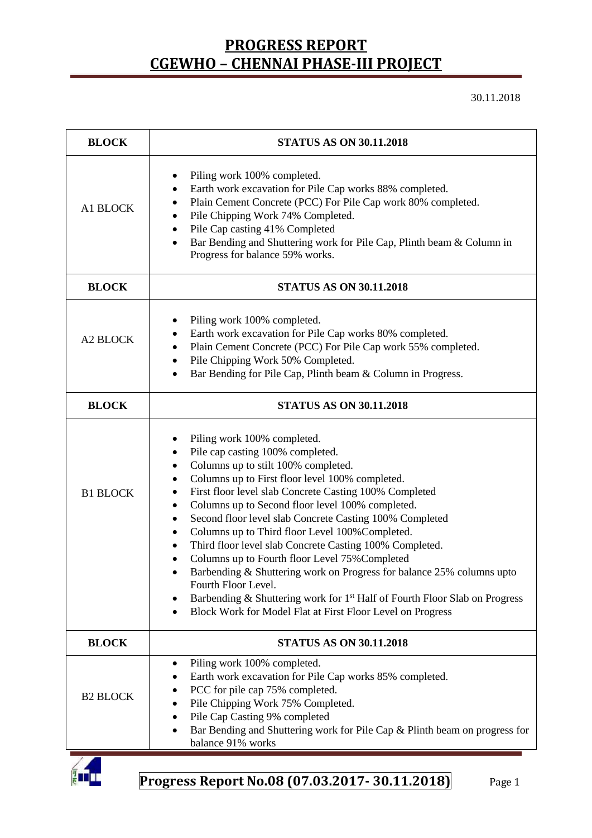30.11.2018

| <b>BLOCK</b>    | <b>STATUS AS ON 30.11.2018</b>                                                                                                                                                                                                                                                                                                                                                                                                                                                                                                                                                                                                                                                                                                                                                                                                               |  |  |  |
|-----------------|----------------------------------------------------------------------------------------------------------------------------------------------------------------------------------------------------------------------------------------------------------------------------------------------------------------------------------------------------------------------------------------------------------------------------------------------------------------------------------------------------------------------------------------------------------------------------------------------------------------------------------------------------------------------------------------------------------------------------------------------------------------------------------------------------------------------------------------------|--|--|--|
| A1 BLOCK        | Piling work 100% completed.<br>٠<br>Earth work excavation for Pile Cap works 88% completed.<br>$\bullet$<br>Plain Cement Concrete (PCC) For Pile Cap work 80% completed.<br>٠<br>Pile Chipping Work 74% Completed.<br>٠<br>Pile Cap casting 41% Completed<br>٠<br>Bar Bending and Shuttering work for Pile Cap, Plinth beam & Column in<br>Progress for balance 59% works.                                                                                                                                                                                                                                                                                                                                                                                                                                                                   |  |  |  |
| <b>BLOCK</b>    | <b>STATUS AS ON 30.11.2018</b>                                                                                                                                                                                                                                                                                                                                                                                                                                                                                                                                                                                                                                                                                                                                                                                                               |  |  |  |
| A2 BLOCK        | Piling work 100% completed.<br>Earth work excavation for Pile Cap works 80% completed.<br>٠<br>Plain Cement Concrete (PCC) For Pile Cap work 55% completed.<br>٠<br>Pile Chipping Work 50% Completed.<br>$\bullet$<br>Bar Bending for Pile Cap, Plinth beam & Column in Progress.                                                                                                                                                                                                                                                                                                                                                                                                                                                                                                                                                            |  |  |  |
| <b>BLOCK</b>    | <b>STATUS AS ON 30.11.2018</b>                                                                                                                                                                                                                                                                                                                                                                                                                                                                                                                                                                                                                                                                                                                                                                                                               |  |  |  |
| <b>B1 BLOCK</b> | Piling work 100% completed.<br>٠<br>Pile cap casting 100% completed.<br>$\bullet$<br>Columns up to stilt 100% completed.<br>٠<br>Columns up to First floor level 100% completed.<br>٠<br>First floor level slab Concrete Casting 100% Completed<br>٠<br>Columns up to Second floor level 100% completed.<br>٠<br>Second floor level slab Concrete Casting 100% Completed<br>$\bullet$<br>Columns up to Third floor Level 100% Completed.<br>$\bullet$<br>Third floor level slab Concrete Casting 100% Completed.<br>$\bullet$<br>Columns up to Fourth floor Level 75% Completed<br>Barbending & Shuttering work on Progress for balance 25% columns upto<br>Fourth Floor Level.<br>Barbending & Shuttering work for 1 <sup>st</sup> Half of Fourth Floor Slab on Progress<br>٠<br>Block Work for Model Flat at First Floor Level on Progress |  |  |  |
| <b>BLOCK</b>    | <b>STATUS AS ON 30.11.2018</b>                                                                                                                                                                                                                                                                                                                                                                                                                                                                                                                                                                                                                                                                                                                                                                                                               |  |  |  |
| <b>B2 BLOCK</b> | Piling work 100% completed.<br>٠<br>Earth work excavation for Pile Cap works 85% completed.<br>PCC for pile cap 75% completed.<br>Pile Chipping Work 75% Completed.<br>Pile Cap Casting 9% completed<br>Bar Bending and Shuttering work for Pile Cap & Plinth beam on progress for<br>balance 91% works                                                                                                                                                                                                                                                                                                                                                                                                                                                                                                                                      |  |  |  |

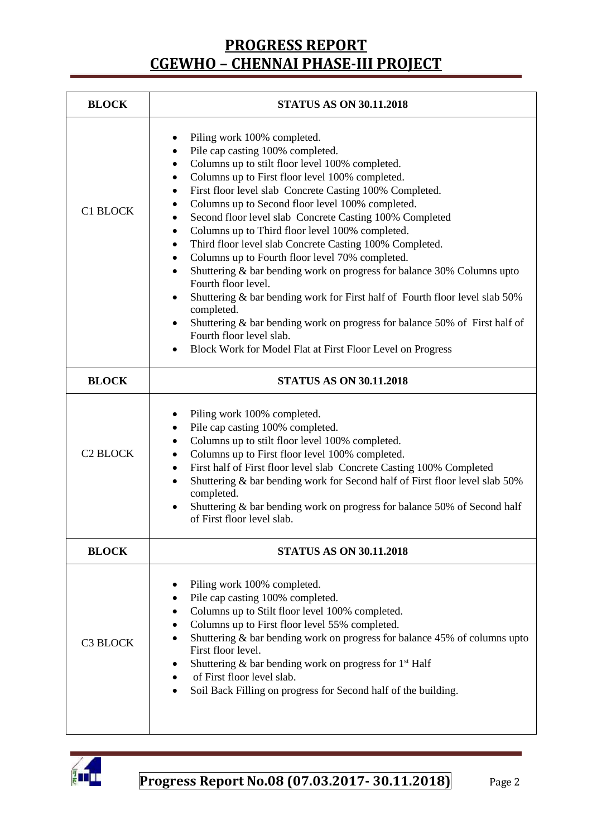| <b>BLOCK</b>    | <b>STATUS AS ON 30.11.2018</b>                                                                                                                                                                                                                                                                                                                                                                                                                                                                                                                                                                                                                                                                                                                                                                                                                                                                                                                                              |  |  |  |
|-----------------|-----------------------------------------------------------------------------------------------------------------------------------------------------------------------------------------------------------------------------------------------------------------------------------------------------------------------------------------------------------------------------------------------------------------------------------------------------------------------------------------------------------------------------------------------------------------------------------------------------------------------------------------------------------------------------------------------------------------------------------------------------------------------------------------------------------------------------------------------------------------------------------------------------------------------------------------------------------------------------|--|--|--|
| <b>C1 BLOCK</b> | Piling work 100% completed.<br>Pile cap casting 100% completed.<br>Columns up to stilt floor level 100% completed.<br>$\bullet$<br>Columns up to First floor level 100% completed.<br>٠<br>First floor level slab Concrete Casting 100% Completed.<br>$\bullet$<br>Columns up to Second floor level 100% completed.<br>Second floor level slab Concrete Casting 100% Completed<br>Columns up to Third floor level 100% completed.<br>$\bullet$<br>Third floor level slab Concrete Casting 100% Completed.<br>٠<br>Columns up to Fourth floor level 70% completed.<br>$\bullet$<br>Shuttering & bar bending work on progress for balance 30% Columns upto<br>$\bullet$<br>Fourth floor level.<br>Shuttering & bar bending work for First half of Fourth floor level slab 50%<br>٠<br>completed.<br>Shuttering & bar bending work on progress for balance 50% of First half of<br>٠<br>Fourth floor level slab.<br>Block Work for Model Flat at First Floor Level on Progress |  |  |  |
| <b>BLOCK</b>    | <b>STATUS AS ON 30.11.2018</b>                                                                                                                                                                                                                                                                                                                                                                                                                                                                                                                                                                                                                                                                                                                                                                                                                                                                                                                                              |  |  |  |
| <b>C2 BLOCK</b> | Piling work 100% completed.<br>٠<br>Pile cap casting 100% completed.<br>$\bullet$<br>Columns up to stilt floor level 100% completed.<br>٠<br>Columns up to First floor level 100% completed.<br>$\bullet$<br>First half of First floor level slab Concrete Casting 100% Completed<br>٠<br>Shuttering & bar bending work for Second half of First floor level slab 50%<br>$\bullet$<br>completed.<br>Shuttering & bar bending work on progress for balance 50% of Second half<br>of First floor level slab.                                                                                                                                                                                                                                                                                                                                                                                                                                                                  |  |  |  |
| <b>BLOCK</b>    | <b>STATUS AS ON 30.11.2018</b>                                                                                                                                                                                                                                                                                                                                                                                                                                                                                                                                                                                                                                                                                                                                                                                                                                                                                                                                              |  |  |  |
| <b>C3 BLOCK</b> | Piling work 100% completed.<br>Pile cap casting 100% completed.<br>$\bullet$<br>Columns up to Stilt floor level 100% completed.<br>٠<br>Columns up to First floor level 55% completed.<br>$\bullet$<br>Shuttering & bar bending work on progress for balance 45% of columns upto<br>$\bullet$<br>First floor level.<br>Shuttering & bar bending work on progress for 1 <sup>st</sup> Half<br>of First floor level slab.<br>Soil Back Filling on progress for Second half of the building.                                                                                                                                                                                                                                                                                                                                                                                                                                                                                   |  |  |  |

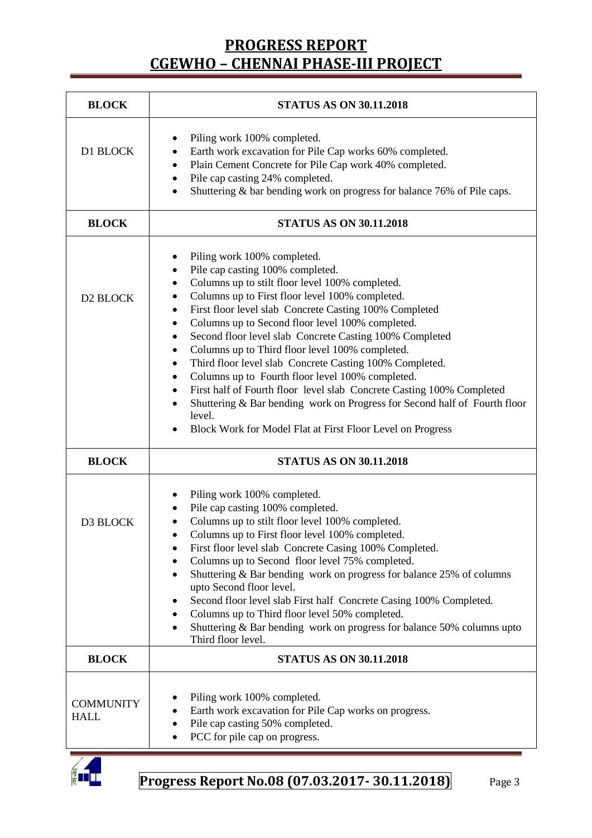| <b>BLOCK</b>                    | <b>STATUS AS ON 30.11.2018</b>                                                                                                                                                                                                                                                                                                                                                                                                                                                                                                                                                                                                                                                                                                                                                                                                                        |  |  |  |  |
|---------------------------------|-------------------------------------------------------------------------------------------------------------------------------------------------------------------------------------------------------------------------------------------------------------------------------------------------------------------------------------------------------------------------------------------------------------------------------------------------------------------------------------------------------------------------------------------------------------------------------------------------------------------------------------------------------------------------------------------------------------------------------------------------------------------------------------------------------------------------------------------------------|--|--|--|--|
| D1 BLOCK                        | Piling work 100% completed.<br>Earth work excavation for Pile Cap works 60% completed.<br>٠<br>Plain Cement Concrete for Pile Cap work 40% completed.<br>٠<br>Pile cap casting 24% completed.<br>$\bullet$<br>Shuttering & bar bending work on progress for balance 76% of Pile caps.<br>$\bullet$                                                                                                                                                                                                                                                                                                                                                                                                                                                                                                                                                    |  |  |  |  |
| <b>BLOCK</b>                    | <b>STATUS AS ON 30.11.2018</b>                                                                                                                                                                                                                                                                                                                                                                                                                                                                                                                                                                                                                                                                                                                                                                                                                        |  |  |  |  |
| D2 BLOCK                        | Piling work 100% completed.<br>٠<br>Pile cap casting 100% completed.<br>$\bullet$<br>Columns up to stilt floor level 100% completed.<br>$\bullet$<br>Columns up to First floor level 100% completed.<br>٠<br>First floor level slab Concrete Casting 100% Completed<br>٠<br>Columns up to Second floor level 100% completed.<br>$\bullet$<br>Second floor level slab Concrete Casting 100% Completed<br>٠<br>Columns up to Third floor level 100% completed.<br>$\bullet$<br>Third floor level slab Concrete Casting 100% Completed.<br>$\bullet$<br>Columns up to Fourth floor level 100% completed.<br>٠<br>First half of Fourth floor level slab Concrete Casting 100% Completed<br>$\bullet$<br>Shuttering & Bar bending work on Progress for Second half of Fourth floor<br>level.<br>Block Work for Model Flat at First Floor Level on Progress |  |  |  |  |
| <b>BLOCK</b>                    | <b>STATUS AS ON 30.11.2018</b>                                                                                                                                                                                                                                                                                                                                                                                                                                                                                                                                                                                                                                                                                                                                                                                                                        |  |  |  |  |
| D3 BLOCK                        | Piling work 100% completed.<br>Pile cap casting 100% completed.<br>Columns up to stilt floor level 100% completed.<br>Columns up to First floor level 100% completed.<br>First floor level slab Concrete Casing 100% Completed.<br>Columns up to Second floor level 75% completed.<br>Shuttering & Bar bending work on progress for balance 25% of columns<br>upto Second floor level.<br>Second floor level slab First half Concrete Casing 100% Completed.<br>Columns up to Third floor level 50% completed.<br>٠<br>Shuttering & Bar bending work on progress for balance 50% columns upto<br>Third floor level.                                                                                                                                                                                                                                   |  |  |  |  |
| <b>BLOCK</b>                    | <b>STATUS AS ON 30.11.2018</b>                                                                                                                                                                                                                                                                                                                                                                                                                                                                                                                                                                                                                                                                                                                                                                                                                        |  |  |  |  |
| <b>COMMUNITY</b><br><b>HALL</b> | Piling work 100% completed.<br>Earth work excavation for Pile Cap works on progress.<br>Pile cap casting 50% completed.<br>PCC for pile cap on progress.                                                                                                                                                                                                                                                                                                                                                                                                                                                                                                                                                                                                                                                                                              |  |  |  |  |

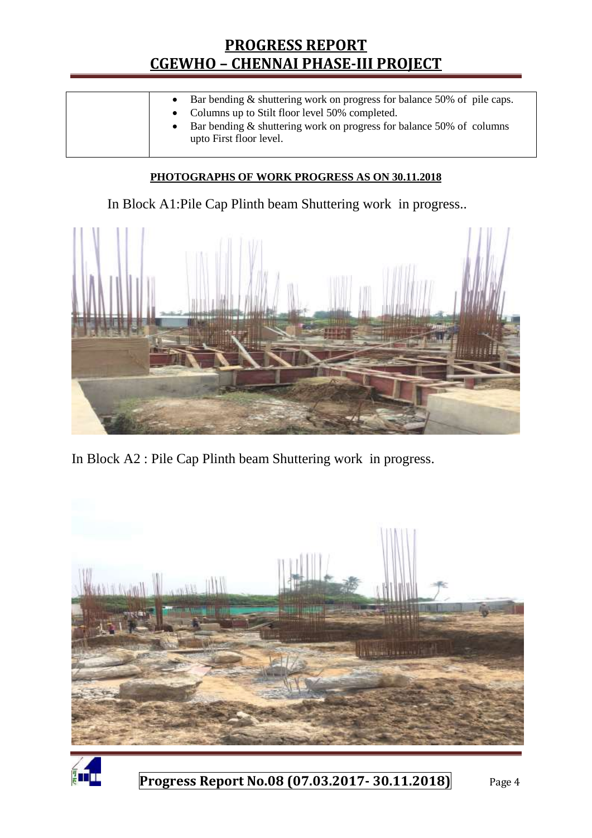| • Bar bending $\&$ shuttering work on progress for balance 50% of pile caps.<br>• Columns up to Stilt floor level 50% completed.<br>• Bar bending $&$ shuttering work on progress for balance 50% of columns<br>upto First floor level. |
|-----------------------------------------------------------------------------------------------------------------------------------------------------------------------------------------------------------------------------------------|
|                                                                                                                                                                                                                                         |

#### **PHOTOGRAPHS OF WORK PROGRESS AS ON 30.11.2018**

In Block A1:Pile Cap Plinth beam Shuttering work in progress..



In Block A2 : Pile Cap Plinth beam Shuttering work in progress.



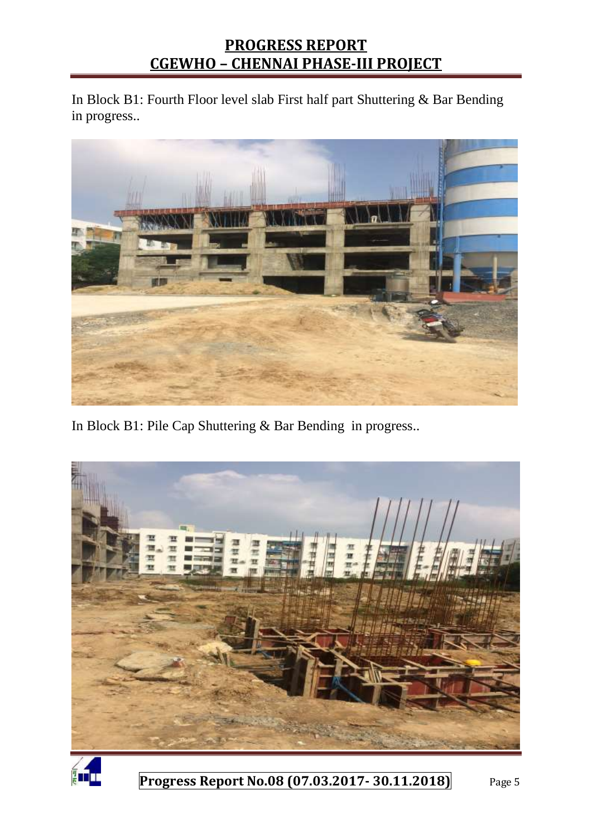In Block B1: Fourth Floor level slab First half part Shuttering & Bar Bending in progress..



In Block B1: Pile Cap Shuttering & Bar Bending in progress..



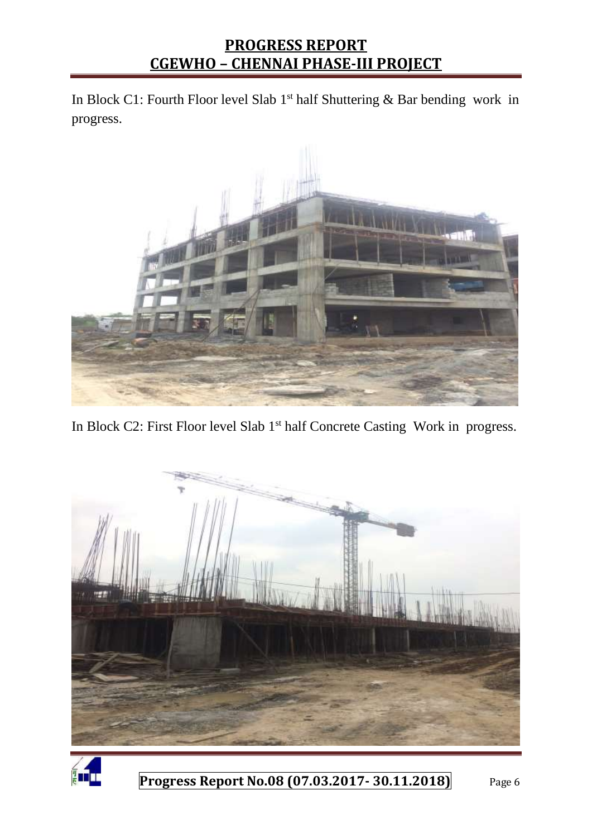In Block C1: Fourth Floor level Slab  $1<sup>st</sup>$  half Shuttering & Bar bending work in progress.



In Block C2: First Floor level Slab 1<sup>st</sup> half Concrete Casting Work in progress.



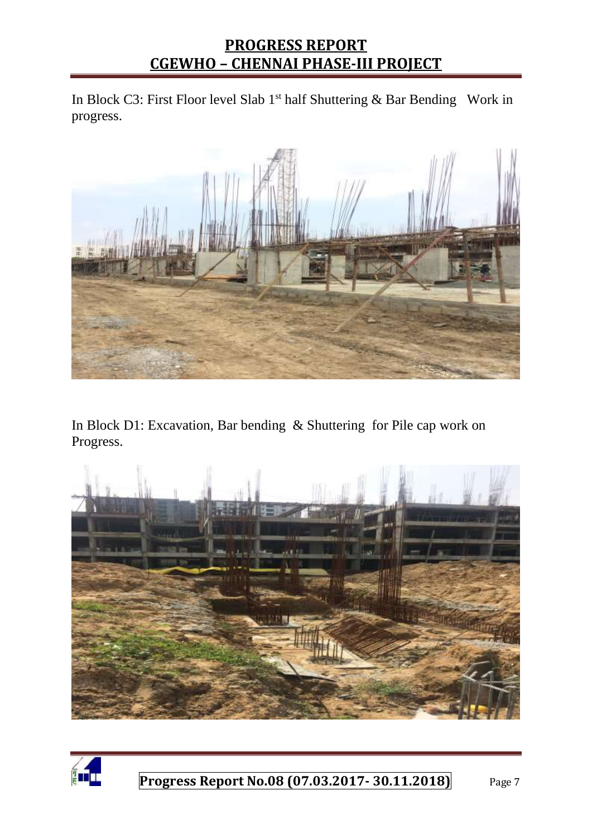In Block C3: First Floor level Slab 1<sup>st</sup> half Shuttering & Bar Bending Work in progress.



In Block D1: Excavation, Bar bending & Shuttering for Pile cap work on Progress.



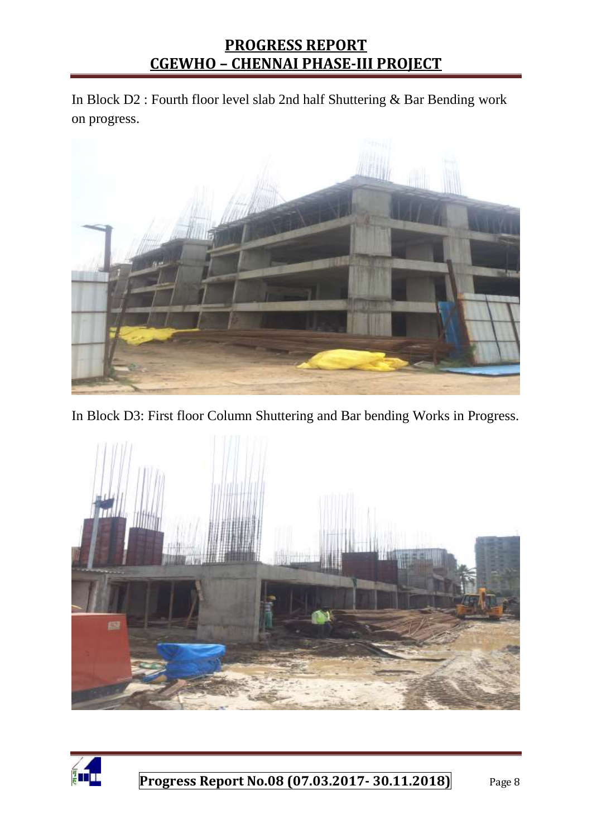In Block D2 : Fourth floor level slab 2nd half Shuttering & Bar Bending work on progress.



In Block D3: First floor Column Shuttering and Bar bending Works in Progress.



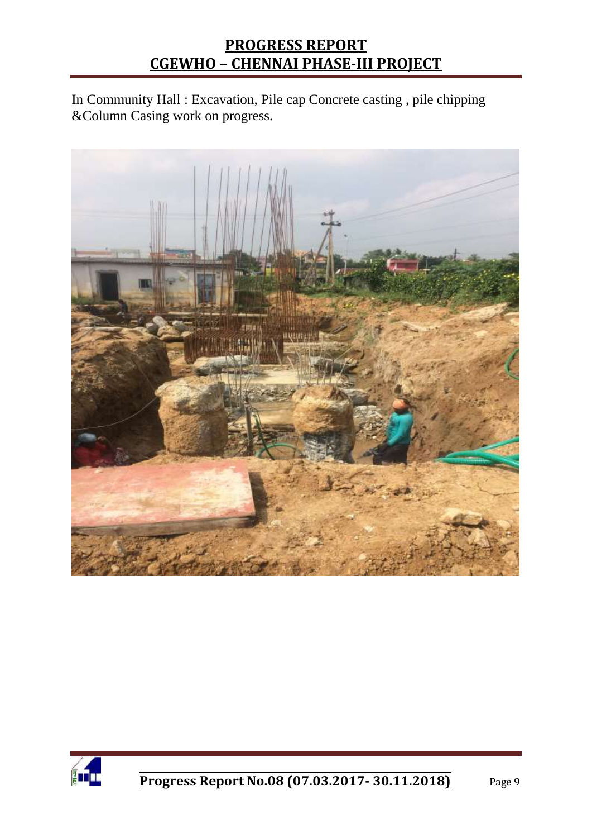In Community Hall : Excavation, Pile cap Concrete casting , pile chipping &Column Casing work on progress.



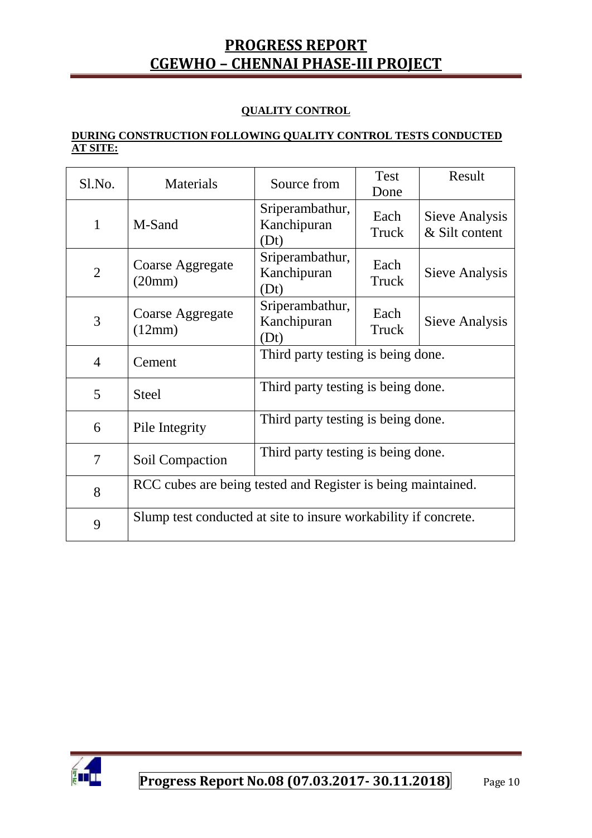#### **QUALITY CONTROL**

#### **DURING CONSTRUCTION FOLLOWING QUALITY CONTROL TESTS CONDUCTED AT SITE:**

| Sl.No.         | Materials                                                       | Source from                            | <b>Test</b><br>Done | Result                           |  |
|----------------|-----------------------------------------------------------------|----------------------------------------|---------------------|----------------------------------|--|
| $\mathbf{1}$   | M-Sand                                                          | Sriperambathur,<br>Kanchipuran<br>(Dt) | Each<br>Truck       | Sieve Analysis<br>& Silt content |  |
| $\overline{2}$ | Coarse Aggregate<br>(20mm)                                      | Sriperambathur,<br>Kanchipuran<br>(Dt) | Each<br>Truck       | Sieve Analysis                   |  |
| 3              | Coarse Aggregate<br>(12mm)                                      | Sriperambathur,<br>Kanchipuran<br>(Dt) | Each<br>Truck       | Sieve Analysis                   |  |
| $\overline{4}$ | Cement                                                          | Third party testing is being done.     |                     |                                  |  |
| 5              | <b>Steel</b>                                                    | Third party testing is being done.     |                     |                                  |  |
| 6              | Pile Integrity                                                  | Third party testing is being done.     |                     |                                  |  |
| $\overline{7}$ | Soil Compaction                                                 | Third party testing is being done.     |                     |                                  |  |
| 8              | RCC cubes are being tested and Register is being maintained.    |                                        |                     |                                  |  |
| 9              | Slump test conducted at site to insure workability if concrete. |                                        |                     |                                  |  |

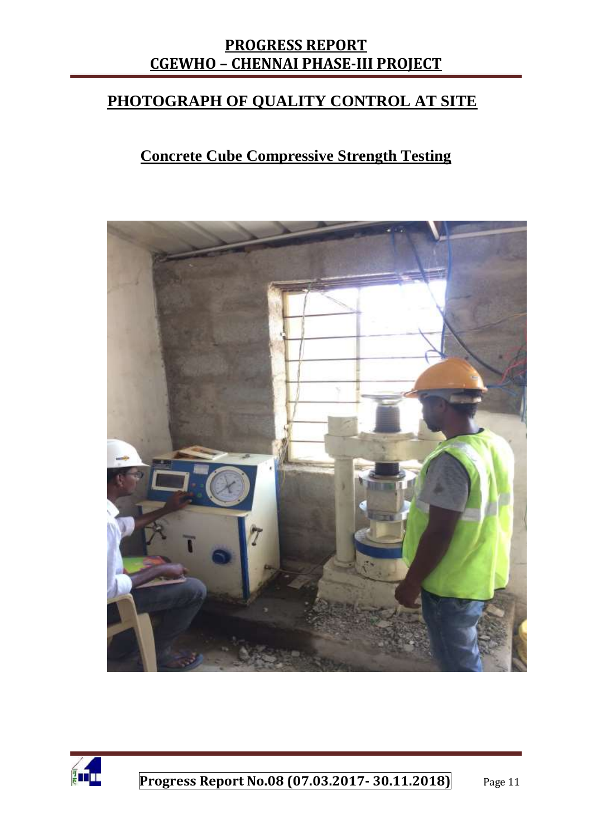### **PHOTOGRAPH OF QUALITY CONTROL AT SITE**

## **Concrete Cube Compressive Strength Testing**



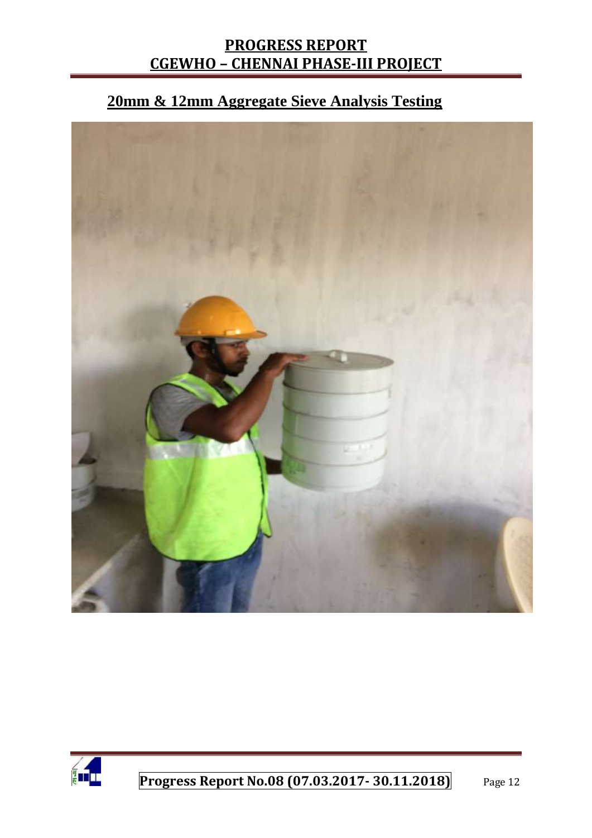# **20mm & 12mm Aggregate Sieve Analysis Testing**